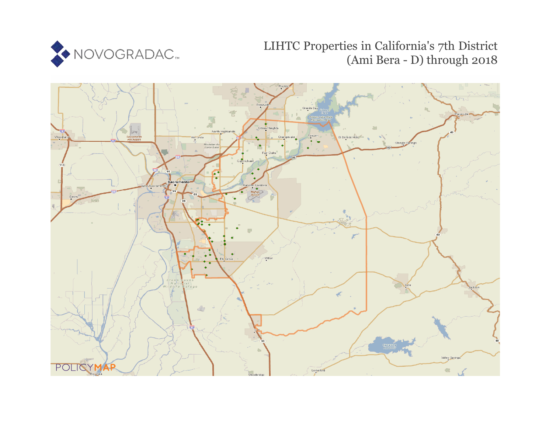

# LIHTC Properties in California's 7th District (Ami Bera - D) through 2018

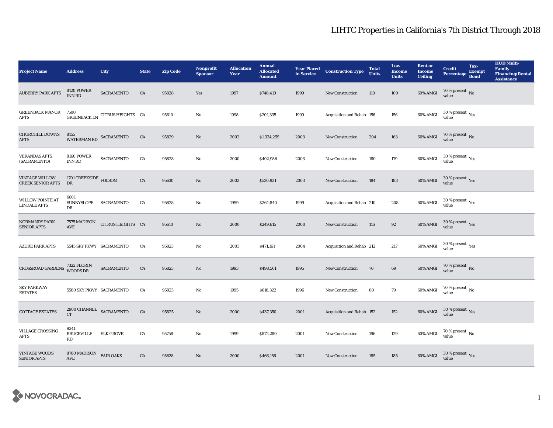| <b>Project Name</b>                               | <b>Address</b>                       | City                           | <b>State</b> | <b>Zip Code</b> | <b>Nonprofit</b><br><b>Sponsor</b> | <b>Allocation</b><br>Year | <b>Annual</b><br><b>Allocated</b><br><b>Amount</b> | <b>Year Placed</b><br>in Service | <b>Construction Type</b>  | <b>Total</b><br><b>Units</b> | Low<br><b>Income</b><br><b>Units</b> | <b>Rent or</b><br><b>Income</b><br><b>Ceiling</b> | <b>Credit</b><br><b>Percentage</b>                        | Tax-<br><b>Exempt</b><br><b>Bond</b> | <b>HUD Multi-</b><br><b>Family</b><br><b>Financing/Rental</b><br><b>Assistance</b> |
|---------------------------------------------------|--------------------------------------|--------------------------------|--------------|-----------------|------------------------------------|---------------------------|----------------------------------------------------|----------------------------------|---------------------------|------------------------------|--------------------------------------|---------------------------------------------------|-----------------------------------------------------------|--------------------------------------|------------------------------------------------------------------------------------|
| <b>AUBERRY PARK APTS</b>                          | <b>8120 POWER</b><br><b>INN RD</b>   | SACRAMENTO                     | ${\rm CA}$   | 95828           | Yes                                | 1997                      | \$748,410                                          | 1999                             | New Construction          | 110                          | 109                                  | 60% AMGI                                          | 70 % present $\,$ No $\,$<br>value                        |                                      |                                                                                    |
| <b>GREENBACK MANOR</b><br><b>APTS</b>             | 7500                                 | GREENBACK LN CITRUS HEIGHTS CA |              | 95610           | $\mathbf{No}$                      | 1998                      | \$201,335                                          | 1999                             | Acquisition and Rehab 156 |                              | 156                                  | 60% AMGI                                          | $30$ % present $\,$ $\rm Yes$<br>value                    |                                      |                                                                                    |
| <b>CHURCHILL DOWNS</b><br><b>APTS</b>             | 8155<br>WATERMAN RD SACRAMENTO       |                                | CA           | 95829           | No                                 | 2002                      | \$1,324,259                                        | 2003                             | <b>New Construction</b>   | 204                          | 163                                  | 60% AMGI                                          | $70$ % present $\,$ No value                              |                                      |                                                                                    |
| <b>VERANDAS APTS</b><br>(SACRAMENTO)              | <b>8160 POWER</b><br><b>INN RD</b>   | <b>SACRAMENTO</b>              | CA           | 95828           | No                                 | 2000                      | \$402,986                                          | 2003                             | New Construction          | 180                          | 179                                  | 60% AMGI                                          | $30\,\%$ present $\rm\thinspace\gamma_{\rm e s}$<br>value |                                      |                                                                                    |
| <b>VINTAGE WILLOW</b><br><b>CREEK SENIOR APTS</b> | 1701 CREEKSIDE FOLSOM<br>DR          |                                | ${\rm CA}$   | 95630           | $\mathbf{N}\mathbf{o}$             | 2002                      | \$530,921                                          | 2003                             | New Construction          | 184                          | 183                                  | 60% AMGI                                          | $30\,\%$ present $\,$ Yes value                           |                                      |                                                                                    |
| <b>WILLOW POINTE AT</b><br><b>LINDALE APTS</b>    | 6601<br>SUNNYSLOPE SACRAMENTO<br>DR  |                                | CA           | 95828           | No                                 | 1999                      | \$264,840                                          | 1999                             | Acquisition and Rehab 210 |                              | 208                                  | 60% AMGI                                          | $30\,\%$ present $\,$ $\rm Yes$<br>value                  |                                      |                                                                                    |
| <b>NORMANDY PARK</b><br><b>SENIOR APTS</b>        | 7575 MADISON<br>$\operatorname{AVE}$ | CITRUS HEIGHTS CA              |              | 95610           | $\mathbf{No}$                      | 2000                      | \$249,615                                          | 2000                             | <b>New Construction</b>   | 116                          | 92                                   | 60% AMGI                                          | $30\,\%$ present $\,$ Yes value                           |                                      |                                                                                    |
| <b>AZURE PARK APTS</b>                            | 5545 SKY PKWY SACRAMENTO             |                                | CA           | 95823           | No                                 | 2003                      | \$471,161                                          | 2004                             | Acquisition and Rehab 212 |                              | 217                                  | 60% AMGI                                          | $30$ % present $\,$ $\rm Yes$<br>value                    |                                      |                                                                                    |
| CROSSROAD GARDENS 7322 FLORIN<br>WOODS DR         |                                      | SACRAMENTO                     | CA           | 95823           | $\rm No$                           | 1993                      | \$498,561                                          | 1995                             | New Construction          | 70                           | 69                                   | 60% AMGI                                          | $70\,\%$ present $\,$ No value                            |                                      |                                                                                    |
| <b>SKY PARKWAY</b><br><b>ESTATES</b>              | 5500 SKY PKWY SACRAMENTO             |                                | CA           | 95823           | No                                 | 1995                      | \$618,322                                          | 1996                             | <b>New Construction</b>   | 80                           | 79                                   | 60% AMGI                                          | $70\,\%$ present $\,$ No value                            |                                      |                                                                                    |
| <b>COTTAGE ESTATES</b>                            | 2900 CHANNEL SACRAMENTO<br>CT        |                                | ${\rm CA}$   | 95825           | $\mathbf{No}$                      | 2000                      | \$437,350                                          | 2001                             | Acquisition and Rehab 152 |                              | 152                                  | 60% AMGI                                          | $30\,\%$ present $\,$ Yes value                           |                                      |                                                                                    |
| <b>VILLAGE CROSSING</b><br><b>APTS</b>            | 9241<br><b>BRUCEVILLE</b><br>RD      | <b>ELK GROVE</b>               | CA           | 95758           | No                                 | 1999                      | \$872,280                                          | 2001                             | <b>New Construction</b>   | 196                          | 129                                  | 60% AMGI                                          | $70$ % present $_{\rm{No}}$                               |                                      |                                                                                    |
| <b>VINTAGE WOODS</b><br><b>SENIOR APTS</b>        | 8780 MADISON<br>AVE                  | <b>FAIR OAKS</b>               | CA           | 95628           | No                                 | 2000                      | \$466,156                                          | 2001                             | <b>New Construction</b>   | 185                          | 185                                  | 60% AMGI                                          | $30$ % present $\,$ $\rm Yes$<br>value                    |                                      |                                                                                    |

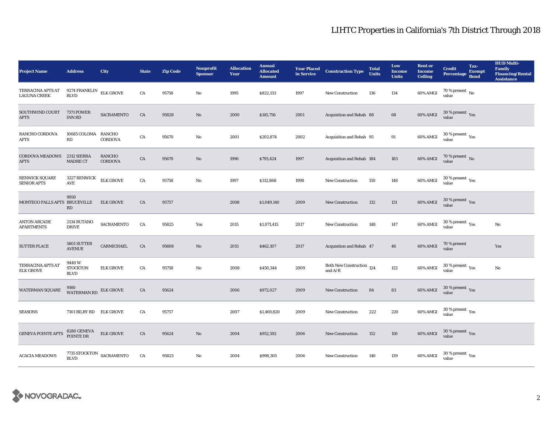| <b>Project Name</b>                         | <b>Address</b>                                    | City                     | <b>State</b> | <b>Zip Code</b> | <b>Nonprofit</b><br><b>Sponsor</b> | <b>Allocation</b><br>Year | <b>Annual</b><br><b>Allocated</b><br><b>Amount</b> | <b>Year Placed<br/>in Service</b> | <b>Construction Type</b>                                                                         | <b>Total</b><br><b>Units</b> | Low<br><b>Income</b><br><b>Units</b> | <b>Rent or</b><br><b>Income</b><br><b>Ceiling</b> | <b>Credit</b><br><b>Percentage</b>        | Tax-<br><b>Exempt</b><br><b>Bond</b> | <b>HUD Multi-</b><br><b>Family</b><br><b>Financing/Rental</b><br><b>Assistance</b> |
|---------------------------------------------|---------------------------------------------------|--------------------------|--------------|-----------------|------------------------------------|---------------------------|----------------------------------------------------|-----------------------------------|--------------------------------------------------------------------------------------------------|------------------------------|--------------------------------------|---------------------------------------------------|-------------------------------------------|--------------------------------------|------------------------------------------------------------------------------------|
| TERRACINA APTS AT<br><b>LAGUNA CREEK</b>    | 9274 FRANKLIN<br><b>BLVD</b>                      | <b>ELK GROVE</b>         | CA           | 95758           | No                                 | 1995                      | \$822,133                                          | 1997                              | New Construction                                                                                 | 136                          | 134                                  | 60% AMGI                                          | 70 % present $\,$ No $\,$<br>value        |                                      |                                                                                    |
| SOUTHWIND COURT<br><b>APTS</b>              | <b>7371 POWER</b><br><b>INN RD</b>                | SACRAMENTO               | CA           | 95828           | $\mathbf{No}$                      | 2000                      | \$145,756                                          | 2001                              | Acquisition and Rehab 88                                                                         |                              | 68                                   | 60% AMGI                                          | $30\,\%$ present $\,$ Yes value           |                                      |                                                                                    |
| RANCHO CORDOVA<br><b>APTS</b>               | 10685 COLOMA RANCHO<br>RD                         | <b>CORDOVA</b>           | CA           | 95670           | No                                 | 2001                      | \$202,874                                          | 2002                              | Acquisition and Rehab 95                                                                         |                              | 91                                   | 60% AMGI                                          | $30\,\%$ present $\,$ Yes value           |                                      |                                                                                    |
| CORDOVA MEADOWS 2312 SIERRA<br><b>APTS</b>  | <b>MADRE CT</b>                                   | RANCHO<br><b>CORDOVA</b> | CA           | 95670           | No                                 | 1996                      | \$793,424                                          | 1997                              | Acquisition and Rehab 184                                                                        |                              | 183                                  | 60% AMGI                                          | $70$ % present $\,$ No value              |                                      |                                                                                    |
| <b>RENWICK SQUARE</b><br><b>SENIOR APTS</b> | 3227 RENWICK<br>$\operatorname{AVE}$              | <b>ELK GROVE</b>         | CA           | 95758           | No                                 | 1997                      | \$312,868                                          | 1998                              | <b>New Construction</b>                                                                          | 150                          | 148                                  | 60% AMGI                                          | $30\,\%$ present $\,$ $\rm Yes$<br>value  |                                      |                                                                                    |
| MONTEGO FALLS APTS BRUCEVILLE               | 9950<br>RD                                        | <b>ELK GROVE</b>         | CA           | 95757           |                                    | 2008                      | \$1,049,140                                        | 2009                              | <b>New Construction</b>                                                                          | 132                          | 131                                  | 60% AMGI                                          | $30\,\%$ present $\,$ Yes value           |                                      |                                                                                    |
| <b>ANTON ARCADE</b><br><b>APARTMENTS</b>    | 2134 BUTANO<br><b>DRIVE</b>                       | SACRAMENTO               | CA           | 95825           | Yes                                | 2015                      | \$1,071,415                                        | 2017                              | <b>New Construction</b>                                                                          | 148                          | 147                                  | 60% AMGI                                          | $30\,\%$ present $\,$ $\rm{Yes}$<br>value |                                      | No                                                                                 |
| <b>SUTTER PLACE</b>                         | 5801 SUTTER<br><b>AVENUE</b>                      | CARMICHAEL               | CA           | 95608           | No                                 | 2015                      | \$462,107                                          | 2017                              | Acquisition and Rehab 47                                                                         |                              | 46                                   | 60% AMGI                                          | 70 % present<br>value                     |                                      | Yes                                                                                |
| TERRACINA APTS AT<br><b>ELK GROVE</b>       | 9440W<br><b>STOCKTON</b><br><b>BLVD</b>           | <b>ELK GROVE</b>         | CA           | 95758           | No                                 | 2008                      | \$450,344                                          | 2009                              | Both New Construction 124<br>and $\ensuremath{\mathrm{A}}\xspace/\ensuremath{\mathrm{R}}\xspace$ |                              | 122                                  | 60% AMGI                                          | $30\,\%$ present $\,\mathrm{Yes}$ value   |                                      | No                                                                                 |
| WATERMAN SQUARE                             | 9160<br><b>WATERMAN RD</b>                        | <b>ELK GROVE</b>         | ${\rm CA}$   | 95624           |                                    | 2006                      | \$972,027                                          | 2009                              | New Construction                                                                                 | 84                           | 83                                   | 60% AMGI                                          | $30\,\%$ present $\,$ Yes value           |                                      |                                                                                    |
| <b>SEASONS</b>                              | 7301 BILBY RD ELK GROVE                           |                          | CA           | 95757           |                                    | 2007                      | \$1,469,820                                        | 2009                              | New Construction                                                                                 | 222                          | 220                                  | 60% AMGI                                          | $30\,\%$ present $\,$ Yes value           |                                      |                                                                                    |
| <b>GENEVA POINTE APTS</b>                   | 8280 GENEVA<br>POINTE DR                          | <b>ELK GROVE</b>         | CA           | 95624           | $\mathbf{No}$                      | 2004                      | \$952,592                                          | 2006                              | New Construction                                                                                 | 152                          | 150                                  | 60% AMGI                                          | $30\,\%$ present $\,$ Yes value           |                                      |                                                                                    |
| <b>ACACIA MEADOWS</b>                       | 7735 STOCKTON $\,$ SACRAMENTO $\,$<br><b>BLVD</b> |                          | CA           | 95823           | No                                 | 2004                      | \$998,305                                          | 2006                              | <b>New Construction</b>                                                                          | 140                          | 139                                  | 60% AMGI                                          | $30\,\%$ present $\,$ $\rm Yes$<br>value  |                                      |                                                                                    |

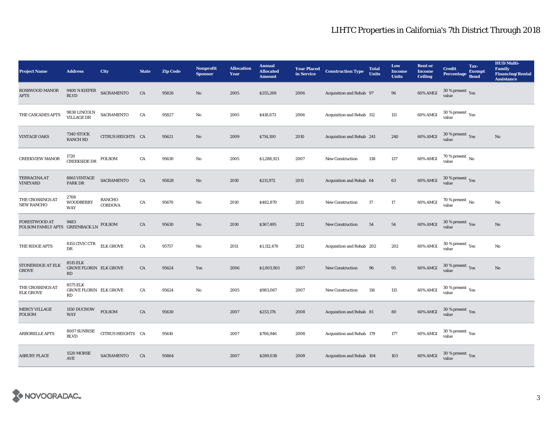| <b>Project Name</b>                        | <b>Address</b>                                         | City                     | <b>State</b> | <b>Zip Code</b> | <b>Nonprofit</b><br><b>Sponsor</b> | <b>Allocation</b><br>Year | <b>Annual</b><br><b>Allocated</b><br><b>Amount</b> | in Service | Year Placed Construction Type | <b>Total</b><br><b>Units</b> | Low<br><b>Income</b><br><b>Units</b> | <b>Rent or</b><br><b>Income</b><br><b>Ceiling</b> | <b>Credit</b><br><b>Percentage</b>       | Tax-<br><b>Exempt</b><br><b>Bond</b> | <b>HUD Multi-</b><br><b>Family</b><br><b>Financing/Rental</b><br><b>Assistance</b> |
|--------------------------------------------|--------------------------------------------------------|--------------------------|--------------|-----------------|------------------------------------|---------------------------|----------------------------------------------------|------------|-------------------------------|------------------------------|--------------------------------------|---------------------------------------------------|------------------------------------------|--------------------------------------|------------------------------------------------------------------------------------|
| <b>ROSSWOOD MANOR</b><br><b>APTS</b>       | $9400$ N KIEFER SACRAMENTO<br><b>BLVD</b>              |                          | CA           | 95826           | $\mathbf{N}\mathbf{o}$             | 2005                      | \$255,269                                          | 2006       | Acquisition and Rehab 97      |                              | 96                                   | 60% AMGI                                          | 30 % present $\,$ $\rm Yes$<br>value     |                                      |                                                                                    |
| THE CASCADES APTS                          | 9838 LINCOLN<br>VILLAGE DR                             | SACRAMENTO               | ${\rm CA}$   | 95827           | $\mathbf{No}$                      | 2005                      | \$418,673                                          | 2006       | Acquisition and Rehab 112     |                              | 111                                  | 60% AMGI                                          | $30\,\%$ present $\,$ Yes value          |                                      |                                                                                    |
| <b>VINTAGE OAKS</b>                        | <b>7340 STOCK</b><br><b>RANCH RD</b>                   | CITRUS HEIGHTS CA        |              | 95621           | $\mathbf{N}\mathbf{o}$             | 2009                      | \$714,100                                          | 2010       | Acquisition and Rehab 241     |                              | 240                                  | 60% AMGI                                          | $30\,\%$ present $\,$ Yes value          |                                      | No                                                                                 |
| <b>CREEKVIEW MANOR</b>                     | 1720<br><b>CREEKSIDE DR</b>                            | <b>FOLSOM</b>            | CA           | 95630           | No                                 | 2005                      | \$1,288,921                                        | 2007       | New Construction              | 138                          | 137                                  | 60% AMGI                                          | 70 % present $\,$ No $\,$<br>value       |                                      |                                                                                    |
| TERRACINA AT<br><b>VINEYARD</b>            | 8861 VINTAGE<br>PARK DR                                | SACRAMENTO               | CA           | 95828           | $\rm No$                           | 2010                      | \$211,972                                          | 2011       | Acquisition and Rehab 64      |                              | 63                                   | 60% AMGI                                          | $30\,\%$ present $\,$ Yes value          |                                      |                                                                                    |
| THE CROSSINGS AT<br><b>NEW RANCHO</b>      | 2708<br><b>WOODBERRY</b><br><b>WAY</b>                 | RANCHO<br><b>CORDOVA</b> | CA           | 95670           | No                                 | 2010                      | \$482,870                                          | 2011       | <b>New Construction</b>       | 17                           | 17                                   | 60% AMGI                                          | $70$ % present $\,$ No value             |                                      | No                                                                                 |
| <b>FORESTWOOD AT</b><br>FOLSOM FAMILY APTS | 9483<br><b>GREENBACK LN</b>                            | <b>FOLSOM</b>            | CA           | 95630           | $\mathbf{N}\mathbf{o}$             | 2010                      | \$367,495                                          | 2012       | <b>New Construction</b>       | 54                           | 54                                   | 60% AMGI                                          | $30\,\%$ present $\,$ Yes value          |                                      | No                                                                                 |
| THE RIDGE APTS                             | 8151 CIVIC CTR<br>DR                                   | <b>ELK GROVE</b>         | ${\rm CA}$   | 95757           | $\mathbf{N}\mathbf{o}$             | 2011                      | \$1,112,470                                        | 2012       | Acquisition and Rehab 202     |                              | 202                                  | 60% AMGI                                          | $30\,\%$ present $\,$ $\rm Yes$<br>value |                                      | No                                                                                 |
| STONERIDGE AT ELK<br><b>GROVE</b>          | <b>8515 ELK</b><br><b>GROVE FLORIN ELK GROVE</b><br>RD |                          | CA           | 95624           | Yes                                | 2006                      | \$1,003,901                                        | 2007       | New Construction              | 96                           | 95                                   | 60% AMGI                                          | $30\,\%$ present $\,$ Yes value          |                                      | No                                                                                 |
| THE CROSSINGS AT<br><b>ELK GROVE</b>       | 8575 ELK<br><b>GROVE FLORIN ELK GROVE</b><br>RD        |                          | CA           | 95624           | No                                 | 2005                      | \$983,067                                          | 2007       | New Construction              | 116                          | 115                                  | 60% AMGI                                          | $30\,\%$ present $\,$ Yes value          |                                      |                                                                                    |
| <b>MERCY VILLAGE</b><br><b>FOLSOM</b>      | 1150 DUCHOW<br><b>WAY</b>                              | <b>FOLSOM</b>            | ${\rm CA}$   | 95630           |                                    | 2007                      | \$253,176                                          | 2008       | Acquisition and Rehab 81      |                              | 80                                   | 60% AMGI                                          | $30\,\%$ present $\,\mathrm{Yes}$ value  |                                      |                                                                                    |
| ARBORELLE APTS                             | 8007 SUNRISE<br><b>BLVD</b>                            | CITRUS HEIGHTS CA        |              | 95610           |                                    | 2007                      | \$706,946                                          | 2008       | Acquisition and Rehab 179     |                              | 177                                  | $60\%$ AMGI                                       | $30\,\%$ present $\,$ Yes value          |                                      |                                                                                    |
| <b>ASBURY PLACE</b>                        | <b>1520 MORSE</b><br><b>AVE</b>                        | SACRAMENTO               | CA           | 95864           |                                    | 2007                      | \$289,038                                          | 2008       | Acquisition and Rehab 104     |                              | 103                                  | 60% AMGI                                          | $30\,\%$ present $\,$ Yes value          |                                      |                                                                                    |

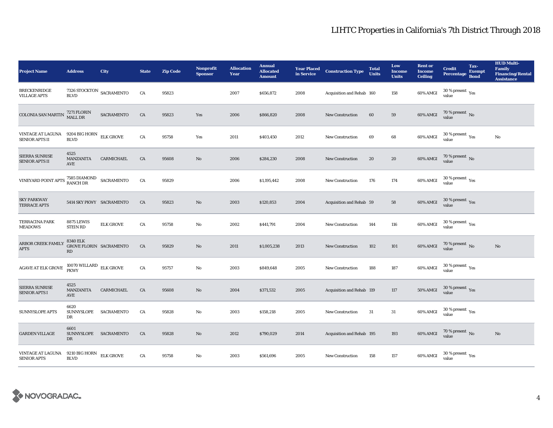| <b>Project Name</b>                                                                                                                                                                                  | <b>Address</b>                                      | City             | <b>State</b> | <b>Zip Code</b> | <b>Nonprofit</b><br><b>Sponsor</b> | <b>Allocation</b><br>Year | <b>Annual</b><br><b>Allocated</b><br><b>Amount</b> | in Service | <b>Year Placed Construction Type</b> | <b>Total</b><br><b>Units</b> | Low<br><b>Income</b><br><b>Units</b> | <b>Rent or</b><br><b>Income</b><br><b>Ceiling</b> | <b>Credit</b><br><b>Percentage</b>          | Tax-<br><b>Exempt</b><br><b>Bond</b> | <b>HUD Multi-</b><br><b>Family</b><br><b>Financing/Rental</b><br><b>Assistance</b> |
|------------------------------------------------------------------------------------------------------------------------------------------------------------------------------------------------------|-----------------------------------------------------|------------------|--------------|-----------------|------------------------------------|---------------------------|----------------------------------------------------|------------|--------------------------------------|------------------------------|--------------------------------------|---------------------------------------------------|---------------------------------------------|--------------------------------------|------------------------------------------------------------------------------------|
| <b>BRECKENRIDGE</b><br><b>VILLAGE APTS</b>                                                                                                                                                           | $7326$ STOCKTON $\,$ SACRAMENTO $\,$<br><b>BLVD</b> |                  | CA           | 95823           |                                    | 2007                      | \$656,872                                          | 2008       | Acquisition and Rehab 160            |                              | 158                                  | 60% AMGI                                          | 30 % present $\rm \gamma_{\rm PS}$<br>value |                                      |                                                                                    |
| <b>COLONIA SAN MARTIN</b>                                                                                                                                                                            | 7271 FLORIN<br>MALL DR                              | SACRAMENTO       | ${\rm CA}$   | 95823           | Yes                                | 2006                      | \$866,820                                          | 2008       | <b>New Construction</b>              | 60                           | 59                                   | 60% AMGI                                          | $70$ % present $\,$ No value                |                                      |                                                                                    |
| VINTAGE AT LAGUNA<br>SENIOR APTS II                                                                                                                                                                  | 9204 BIG HORN<br><b>BLVD</b>                        | <b>ELK GROVE</b> | CA           | 95758           | Yes                                | 2011                      | \$403,450                                          | 2012       | <b>New Construction</b>              | 69                           | 68                                   | 60% AMGI                                          | $30\,\%$ present $\,\mathrm{Yes}$ value     |                                      | No                                                                                 |
| SIERRA SUNRISE<br>SENIOR APTS II                                                                                                                                                                     | 4525<br>MANZANITA<br>AVE                            | CARMICHAEL       | CA           | 95608           | $\rm No$                           | 2006                      | \$284,230                                          | 2008       | New Construction                     | 20                           | ${\bf 20}$                           | 60% AMGI                                          | $70\,\%$ present $\,$ No $\,$<br>value      |                                      |                                                                                    |
| $\label{eq:VINEYARD} \begin{minipage}{0.9\linewidth} \textsc{VINEYARD POINT APTS} \begin{tabular}{ll} \textsc{7585 DIAMOND} & \textsc{SACRAMENTO} \\ \textsc{RANCH DR} \end{tabular} \end{minipage}$ |                                                     |                  | ${\rm CA}$   | 95829           |                                    | 2006                      | \$1,195,442                                        | 2008       | New Construction                     | 176                          | 174                                  | 60% AMGI                                          | $30\,\%$ present $\,$ $\rm Yes$<br>value    |                                      |                                                                                    |
| <b>SKY PARKWAY</b><br><b>TERRACE APTS</b>                                                                                                                                                            | 5414 SKY PKWY SACRAMENTO                            |                  | CA           | 95823           | $\mathbf{N}\mathbf{o}$             | 2003                      | \$120,853                                          | 2004       | Acquisition and Rehab 59             |                              | 58                                   | 60% AMGI                                          | $30\,\%$ present $\,\mathrm{Yes}$ value     |                                      |                                                                                    |
| <b>TERRACINA PARK</b><br><b>MEADOWS</b>                                                                                                                                                              | <b>8875 LEWIS</b><br><b>STEIN RD</b>                | <b>ELK GROVE</b> | CA           | 95758           | No                                 | 2002                      | \$441,791                                          | 2004       | <b>New Construction</b>              | 144                          | 116                                  | 60% AMGI                                          | $30\,\%$ present $\rm \chi_{ES}$<br>value   |                                      |                                                                                    |
| ARBOR CREEK FAMILY<br>$\rm APTS$                                                                                                                                                                     | <b>8340 ELK</b><br>GROVE FLORIN SACRAMENTO<br>RD    |                  | ${\rm CA}$   | 95829           | $\rm No$                           | 2011                      | \$1,005,238                                        | 2013       | New Construction                     | 102                          | 101                                  | 60% AMGI                                          | $70$ % present $\,$ No value                |                                      | $\mathbf{No}$                                                                      |
| AGAVE AT ELK GROVE                                                                                                                                                                                   | $10070$ WILLARD $$\rm ELK$ GROVE PKWY               |                  | CA           | 95757           | $\mathbf{N}\mathbf{o}$             | 2003                      | \$849,648                                          | 2005       | New Construction                     | 188                          | 187                                  | 60% AMGI                                          | $30\,\%$ present $\,\mathrm{Yes}$ value     |                                      |                                                                                    |
| SIERRA SUNRISE<br><b>SENIOR APTS I</b>                                                                                                                                                               | 4525<br>MANZANITA<br>AVE                            | CARMICHAEL       | CA           | 95608           | $\mathbf{N}\mathbf{o}$             | 2004                      | \$371,532                                          | 2005       | Acquisition and Rehab 119            |                              | 117                                  | 50% AMGI                                          | $30\,\%$ present $\,$ Yes value             |                                      |                                                                                    |
| SUNNYSLOPE APTS                                                                                                                                                                                      | 6620<br>SUNNYSLOPE SACRAMENTO<br>DR                 |                  | CA           | 95828           | $\mathbf{N}\mathbf{o}$             | 2003                      | \$158,218                                          | 2005       | New Construction                     | 31                           | $31\,$                               | 60% AMGI                                          | $30\,\%$ present $\,$ Yes value             |                                      |                                                                                    |
| <b>GARDEN VILLAGE</b>                                                                                                                                                                                | 6601<br>SUNNYSLOPE SACRAMENTO<br>DR                 |                  | CA           | 95828           | $\mathbf{N}\mathbf{o}$             | 2012                      | \$790,029                                          | 2014       | Acquisition and Rehab 195            |                              | 193                                  | 60% AMGI                                          | $70\,\%$ present $\,$ No value              |                                      | $\mathbf{No}$                                                                      |
| VINTAGE AT LAGUNA<br><b>SENIOR APTS</b>                                                                                                                                                              | 9210 BIG HORN<br><b>BLVD</b>                        | <b>ELK GROVE</b> | CA           | 95758           | $\mathbf{N}\mathbf{o}$             | 2003                      | \$561,696                                          | 2005       | <b>New Construction</b>              | 158                          | 157                                  | 60% AMGI                                          | $30$ % present $\,$ $\rm Yes$<br>value      |                                      |                                                                                    |